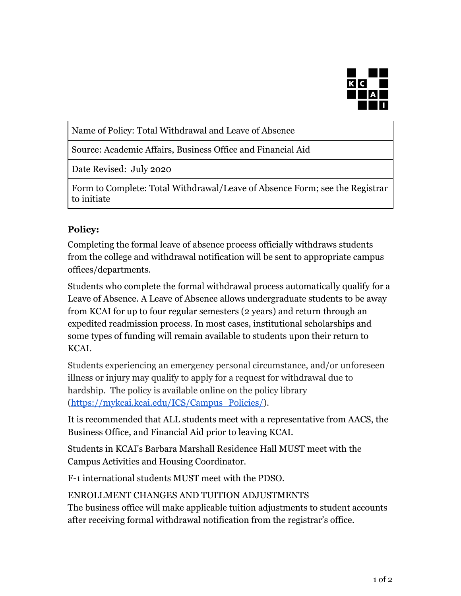

Name of Policy: Total Withdrawal and Leave of Absence

Source: Academic Affairs, Business Office and Financial Aid

Date Revised: July 2020

Form to Complete: Total Withdrawal/Leave of Absence Form; see the Registrar to initiate

## **Policy:**

Completing the formal leave of absence process officially withdraws students from the college and withdrawal notification will be sent to appropriate campus offices/departments.

Students who complete the formal withdrawal process automatically qualify for a Leave of Absence. A Leave of Absence allows undergraduate students to be away from KCAI for up to four regular semesters (2 years) and return through an expedited readmission process. In most cases, institutional scholarships and some types of funding will remain available to students upon their return to KCAI.

Students experiencing an emergency personal circumstance, and/or unforeseen illness or injury may qualify to apply for a request for withdrawal due to hardship. The policy is available online on the policy library [\(https://mykcai.kcai.edu/ICS/Campus\\_Policies/\)](https://mykcai.kcai.edu/ICS/Campus_Policies/).

It is recommended that ALL students meet with a representative from AACS, the Business Office, and Financial Aid prior to leaving KCAI.

Students in KCAI's Barbara Marshall Residence Hall MUST meet with the Campus Activities and Housing Coordinator.

F-1 international students MUST meet with the PDSO.

ENROLLMENT CHANGES AND TUITION ADJUSTMENTS

The business office will make applicable tuition adjustments to student accounts after receiving formal withdrawal notification from the registrar's office.